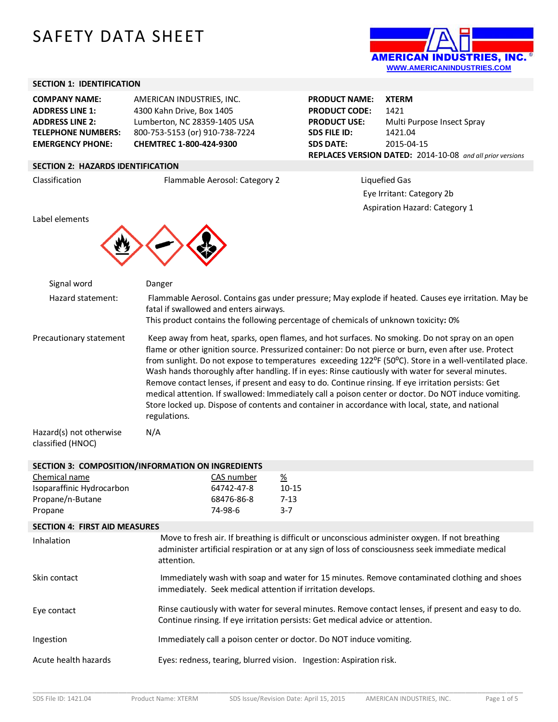# SAFETY DATA SHEET



**Multi Purpose Insect Spray** 

**REPLACES VERSION DATED:** 2014-10-08 *and all prior versions*

 Eye Irritant: Category 2b Aspiration Hazard: Category 1

**PRODUCT NAME: XTERM PRODUCT CODE:** 1421<br>**PRODUCT USE:** Multi

**SDS FILE ID:** 1421.04 **SDS DATE:** 2015-04-15

## **SECTION 1: IDENTIFICATION**

| <b>COMPANY NAME:</b>      | AMERICAN INDUSTRIES, INC.      |
|---------------------------|--------------------------------|
| <b>ADDRESS LINE 1:</b>    | 4300 Kahn Drive, Box 1405      |
| <b>ADDRESS LINE 2:</b>    | Lumberton, NC 28359-1405 USA   |
| <b>TELEPHONE NUMBERS:</b> | 800-753-5153 (or) 910-738-7224 |
| <b>EMERGENCY PHONE:</b>   | CHEMTREC 1-800-424-9300        |

# **SECTION 2: HAZARDS IDENTIFICATION**

Classification Flammable Aerosol: Category 2 Liquefied Gas

Label elements



| Signal word                                  | Danger                                                                                                                                                                                                                                                                                                                                                                                                                                                                                                                                                                                                                                                                                                                                                      |
|----------------------------------------------|-------------------------------------------------------------------------------------------------------------------------------------------------------------------------------------------------------------------------------------------------------------------------------------------------------------------------------------------------------------------------------------------------------------------------------------------------------------------------------------------------------------------------------------------------------------------------------------------------------------------------------------------------------------------------------------------------------------------------------------------------------------|
| Hazard statement:                            | Flammable Aerosol. Contains gas under pressure; May explode if heated. Causes eye irritation. May be<br>fatal if swallowed and enters airways.                                                                                                                                                                                                                                                                                                                                                                                                                                                                                                                                                                                                              |
|                                              | This product contains the following percentage of chemicals of unknown toxicity: 0%                                                                                                                                                                                                                                                                                                                                                                                                                                                                                                                                                                                                                                                                         |
| Precautionary statement                      | Keep away from heat, sparks, open flames, and hot surfaces. No smoking. Do not spray on an open<br>flame or other ignition source. Pressurized container: Do not pierce or burn, even after use. Protect<br>from sunlight. Do not expose to temperatures exceeding 122°F (50°C). Store in a well-ventilated place.<br>Wash hands thoroughly after handling. If in eyes: Rinse cautiously with water for several minutes.<br>Remove contact lenses, if present and easy to do. Continue rinsing. If eye irritation persists: Get<br>medical attention. If swallowed: Immediately call a poison center or doctor. Do NOT induce vomiting.<br>Store locked up. Dispose of contents and container in accordance with local, state, and national<br>regulations. |
| Hazard(s) not otherwise<br>classified (HNOC) | N/A                                                                                                                                                                                                                                                                                                                                                                                                                                                                                                                                                                                                                                                                                                                                                         |

| SECTION 3: COMPOSITION/INFORMATION ON INGREDIENTS |                                                                                                                                                                                      |                                                                                                                                                                                                     |
|---------------------------------------------------|--------------------------------------------------------------------------------------------------------------------------------------------------------------------------------------|-----------------------------------------------------------------------------------------------------------------------------------------------------------------------------------------------------|
| Chemical name                                     | CAS number                                                                                                                                                                           | $\frac{\%}{\%}$                                                                                                                                                                                     |
| Isoparaffinic Hydrocarbon                         | 64742-47-8                                                                                                                                                                           | $10 - 15$                                                                                                                                                                                           |
| Propane/n-Butane                                  | 68476-86-8                                                                                                                                                                           | $7 - 13$                                                                                                                                                                                            |
| Propane                                           | 74-98-6                                                                                                                                                                              | $3 - 7$                                                                                                                                                                                             |
| <b>SECTION 4: FIRST AID MEASURES</b>              |                                                                                                                                                                                      |                                                                                                                                                                                                     |
| Inhalation                                        | attention.                                                                                                                                                                           | Move to fresh air. If breathing is difficult or unconscious administer oxygen. If not breathing<br>administer artificial respiration or at any sign of loss of consciousness seek immediate medical |
| Skin contact                                      | immediately. Seek medical attention if irritation develops.                                                                                                                          | Immediately wash with soap and water for 15 minutes. Remove contaminated clothing and shoes                                                                                                         |
| Eye contact                                       | Rinse cautiously with water for several minutes. Remove contact lenses, if present and easy to do.<br>Continue rinsing. If eye irritation persists: Get medical advice or attention. |                                                                                                                                                                                                     |
| Ingestion                                         |                                                                                                                                                                                      | Immediately call a poison center or doctor. Do NOT induce vomiting.                                                                                                                                 |
| Acute health hazards                              |                                                                                                                                                                                      | Eyes: redness, tearing, blurred vision. Ingestion: Aspiration risk.                                                                                                                                 |
|                                                   |                                                                                                                                                                                      |                                                                                                                                                                                                     |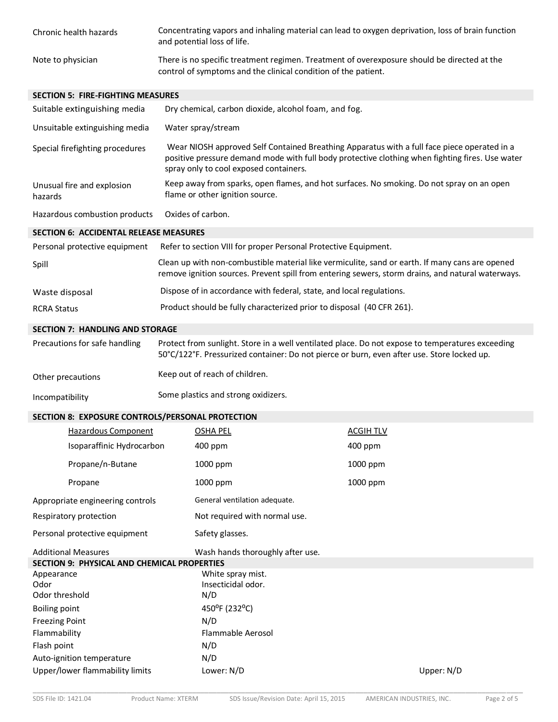| Chronic health hazards | Concentrating vapors and inhaling material can lead to oxygen deprivation, loss of brain function<br>and potential loss of life.                              |
|------------------------|---------------------------------------------------------------------------------------------------------------------------------------------------------------|
| Note to physician      | There is no specific treatment regimen. Treatment of overexposure should be directed at the<br>control of symptoms and the clinical condition of the patient. |

### **SECTION 5: FIRE-FIGHTING MEASURES**

| Suitable extinguishing media                  | Dry chemical, carbon dioxide, alcohol foam, and fog.                                                                                                                                                                                     |  |
|-----------------------------------------------|------------------------------------------------------------------------------------------------------------------------------------------------------------------------------------------------------------------------------------------|--|
| Unsuitable extinguishing media                | Water spray/stream                                                                                                                                                                                                                       |  |
| Special firefighting procedures               | Wear NIOSH approved Self Contained Breathing Apparatus with a full face piece operated in a<br>positive pressure demand mode with full body protective clothing when fighting fires. Use water<br>spray only to cool exposed containers. |  |
| Unusual fire and explosion<br>hazards         | Keep away from sparks, open flames, and hot surfaces. No smoking. Do not spray on an open<br>flame or other ignition source.                                                                                                             |  |
| Hazardous combustion products                 | Oxides of carbon.                                                                                                                                                                                                                        |  |
| <b>SECTION 6: ACCIDENTAL RELEASE MEASURES</b> |                                                                                                                                                                                                                                          |  |
|                                               | Descending protective equipment Defecto cection VIII for prepar Descend Dratective Equipment                                                                                                                                             |  |

| Personal protective equipment | Refer to section VIII for proper Personal Protective Equipment.                                                                                                                                      |
|-------------------------------|------------------------------------------------------------------------------------------------------------------------------------------------------------------------------------------------------|
| Spill                         | Clean up with non-combustible material like vermiculite, sand or earth. If many cans are opened<br>remove ignition sources. Prevent spill from entering sewers, storm drains, and natural waterways. |
| Waste disposal                | Dispose of in accordance with federal, state, and local regulations.                                                                                                                                 |
| <b>RCRA Status</b>            | Product should be fully characterized prior to disposal (40 CFR 261).                                                                                                                                |

## **SECTION 7: HANDLING AND STORAGE**

| Precautions for safe handling | Protect from sunlight. Store in a well ventilated place. Do not expose to temperatures exceeding<br>50°C/122°F. Pressurized container: Do not pierce or burn, even after use. Store locked up. |
|-------------------------------|------------------------------------------------------------------------------------------------------------------------------------------------------------------------------------------------|
| Other precautions             | Keep out of reach of children.                                                                                                                                                                 |

| <b>OUTER PROGRAMMENTS</b> |                                     |
|---------------------------|-------------------------------------|
| Incompatibility           | Some plastics and strong oxidizers. |

## **SECTION 8: EXPOSURE CONTROLS/PERSONAL PROTECTION**

|                                             | <b>Hazardous Component</b>       | <b>OSHA PEL</b>                  | <b>ACGIH TLV</b> |              |
|---------------------------------------------|----------------------------------|----------------------------------|------------------|--------------|
|                                             | Isoparaffinic Hydrocarbon        | $400$ ppm                        | 400 ppm          |              |
|                                             | Propane/n-Butane                 | 1000 ppm                         | 1000 ppm         |              |
|                                             | Propane                          | 1000 ppm                         | 1000 ppm         |              |
|                                             | Appropriate engineering controls | General ventilation adequate.    |                  |              |
|                                             | Respiratory protection           | Not required with normal use.    |                  |              |
|                                             | Personal protective equipment    | Safety glasses.                  |                  |              |
| <b>Additional Measures</b>                  |                                  | Wash hands thoroughly after use. |                  |              |
| SECTION 9: PHYSICAL AND CHEMICAL PROPERTIES |                                  |                                  |                  |              |
| Appearance                                  |                                  | White spray mist.                |                  |              |
| Odor                                        |                                  | Insecticidal odor.               |                  |              |
| Odor threshold                              |                                  | N/D                              |                  |              |
| <b>Boiling point</b>                        |                                  | 450°F (232°C)                    |                  |              |
| <b>Freezing Point</b>                       |                                  | N/D                              |                  |              |
| Flammability                                |                                  | Flammable Aerosol                |                  |              |
| Flash point                                 |                                  | N/D                              |                  |              |
|                                             | Auto-ignition temperature        | N/D                              |                  |              |
|                                             | Upper/lower flammability limits  | Lower: N/D                       |                  | Upper: $N/D$ |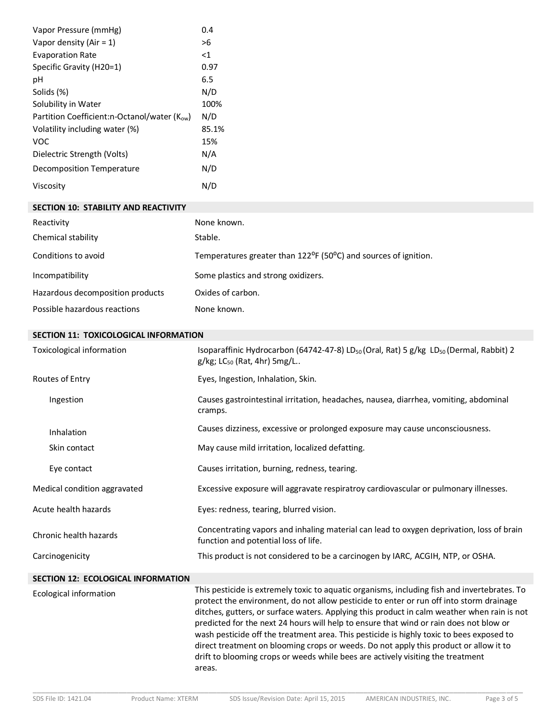| Vapor Pressure (mmHg)                            | 0.4            |
|--------------------------------------------------|----------------|
| Vapor density (Air = 1)                          | >6             |
| <b>Evaporation Rate</b>                          | $<$ 1          |
| Specific Gravity (H20=1)                         | 0.97           |
| рH                                               | 6.5            |
| Solids (%)                                       | N/D            |
| Solubility in Water                              | 100%           |
| Partition Coefficient:n-Octanol/water $(K_{ow})$ | N/D            |
| Volatility including water (%)                   | 85.1%          |
| VOC                                              | 15%            |
| Dielectric Strength (Volts)                      | N/A            |
| Decomposition Temperature                        | N/D            |
| Viscosity                                        | $N/\mathbb{C}$ |

#### **SECTION 10: STABILITY AND REACTIVITY**

| Reactivity                       | None known.                                                                               |
|----------------------------------|-------------------------------------------------------------------------------------------|
| Chemical stability               | Stable.                                                                                   |
| Conditions to avoid              | Temperatures greater than 122 <sup>o</sup> F (50 <sup>o</sup> C) and sources of ignition. |
| Incompatibility                  | Some plastics and strong oxidizers.                                                       |
| Hazardous decomposition products | Oxides of carbon.                                                                         |
| Possible hazardous reactions     | None known.                                                                               |

#### **SECTION 11: TOXICOLOGICAL INFORMATION**

| Toxicological information                 | Isoparaffinic Hydrocarbon (64742-47-8) LD <sub>50</sub> (Oral, Rat) 5 g/kg LD <sub>50</sub> (Dermal, Rabbit) 2<br>$g/kg$ ; LC <sub>50</sub> (Rat, 4hr) 5mg/L |
|-------------------------------------------|--------------------------------------------------------------------------------------------------------------------------------------------------------------|
| Routes of Entry                           | Eyes, Ingestion, Inhalation, Skin.                                                                                                                           |
| Ingestion                                 | Causes gastrointestinal irritation, headaches, nausea, diarrhea, vomiting, abdominal<br>cramps.                                                              |
| <b>Inhalation</b>                         | Causes dizziness, excessive or prolonged exposure may cause unconsciousness.                                                                                 |
| Skin contact                              | May cause mild irritation, localized defatting.                                                                                                              |
| Eye contact                               | Causes irritation, burning, redness, tearing.                                                                                                                |
| Medical condition aggravated              | Excessive exposure will aggravate respiratroy cardiovascular or pulmonary illnesses.                                                                         |
| Acute health hazards                      | Eyes: redness, tearing, blurred vision.                                                                                                                      |
| Chronic health hazards                    | Concentrating vapors and inhaling material can lead to oxygen deprivation, loss of brain<br>function and potential loss of life.                             |
| Carcinogenicity                           | This product is not considered to be a carcinogen by IARC, ACGIH, NTP, or OSHA.                                                                              |
| <b>SECTION 12: ECOLOGICAL INFORMATION</b> |                                                                                                                                                              |

Ecological information This pesticide is extremely toxic to aquatic organisms, including fish and invertebrates. To protect the environment, do not allow pesticide to enter or run off into storm drainage ditches, gutters, or surface waters. Applying this product in calm weather when rain is not predicted for the next 24 hours will help to ensure that wind or rain does not blow or wash pesticide off the treatment area. This pesticide is highly toxic to bees exposed to direct treatment on blooming crops or weeds. Do not apply this product or allow it to drift to blooming crops or weeds while bees are actively visiting the treatment areas.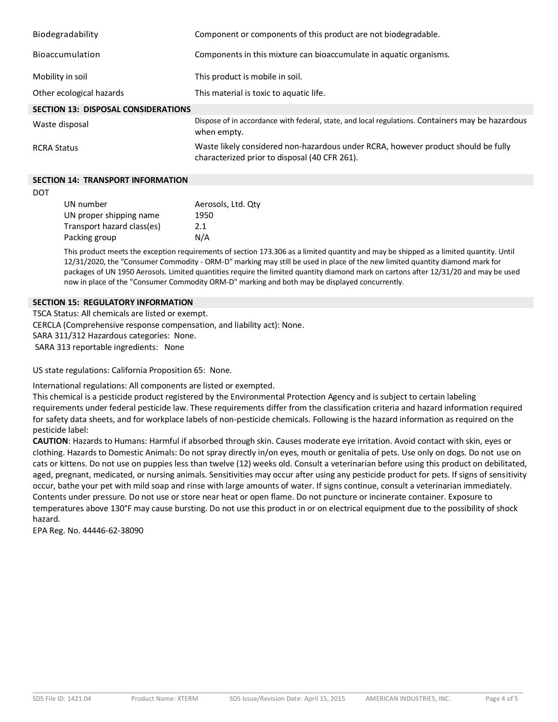| Biodegradability                           | Component or components of this product are not biodegradable.                                                                     |
|--------------------------------------------|------------------------------------------------------------------------------------------------------------------------------------|
| <b>Bioaccumulation</b>                     | Components in this mixture can bioaccumulate in aquatic organisms.                                                                 |
| Mobility in soil                           | This product is mobile in soil.                                                                                                    |
| Other ecological hazards                   | This material is toxic to aquatic life.                                                                                            |
| <b>SECTION 13: DISPOSAL CONSIDERATIONS</b> |                                                                                                                                    |
| Waste disposal                             | Dispose of in accordance with federal, state, and local regulations. Containers may be hazardous<br>when empty.                    |
| <b>RCRA Status</b>                         | Waste likely considered non-hazardous under RCRA, however product should be fully<br>characterized prior to disposal (40 CFR 261). |

## **SECTION 14: TRANSPORT INFORMATION**

DOT

| UN number                  | Aerosols, Ltd. Qtv |
|----------------------------|--------------------|
| UN proper shipping name    | 1950               |
| Transport hazard class(es) | 2.1                |
| Packing group              | N/A                |

This product meets the exception requirements of section 173.306 as a limited quantity and may be shipped as a limited quantity. Until 12/31/2020, the "Consumer Commodity - ORM-D" marking may still be used in place of the new limited quantity diamond mark for packages of UN 1950 Aerosols. Limited quantities require the limited quantity diamond mark on cartons after 12/31/20 and may be used now in place of the "Consumer Commodity ORM-D" marking and both may be displayed concurrently.

## **SECTION 15: REGULATORY INFORMATION**

TSCA Status: All chemicals are listed or exempt. CERCLA (Comprehensive response compensation, and liability act): None. SARA 311/312 Hazardous categories: None. SARA 313 reportable ingredients: None

US state regulations: California Proposition 65: None.

International regulations: All components are listed or exempted.

This chemical is a pesticide product registered by the Environmental Protection Agency and is subject to certain labeling requirements under federal pesticide law. These requirements differ from the classification criteria and hazard information required for safety data sheets, and for workplace labels of non-pesticide chemicals. Following is the hazard information as required on the pesticide label:

**CAUTION**: Hazards to Humans: Harmful if absorbed through skin. Causes moderate eye irritation. Avoid contact with skin, eyes or clothing. Hazards to Domestic Animals: Do not spray directly in/on eyes, mouth or genitalia of pets. Use only on dogs. Do not use on cats or kittens. Do not use on puppies less than twelve (12) weeks old. Consult a veterinarian before using this product on debilitated, aged, pregnant, medicated, or nursing animals. Sensitivities may occur after using any pesticide product for pets. If signs of sensitivity occur, bathe your pet with mild soap and rinse with large amounts of water. If signs continue, consult a veterinarian immediately. Contents under pressure. Do not use or store near heat or open flame. Do not puncture or incinerate container. Exposure to temperatures above 130°F may cause bursting. Do not use this product in or on electrical equipment due to the possibility of shock hazard.

EPA Reg. No. 44446-62-38090